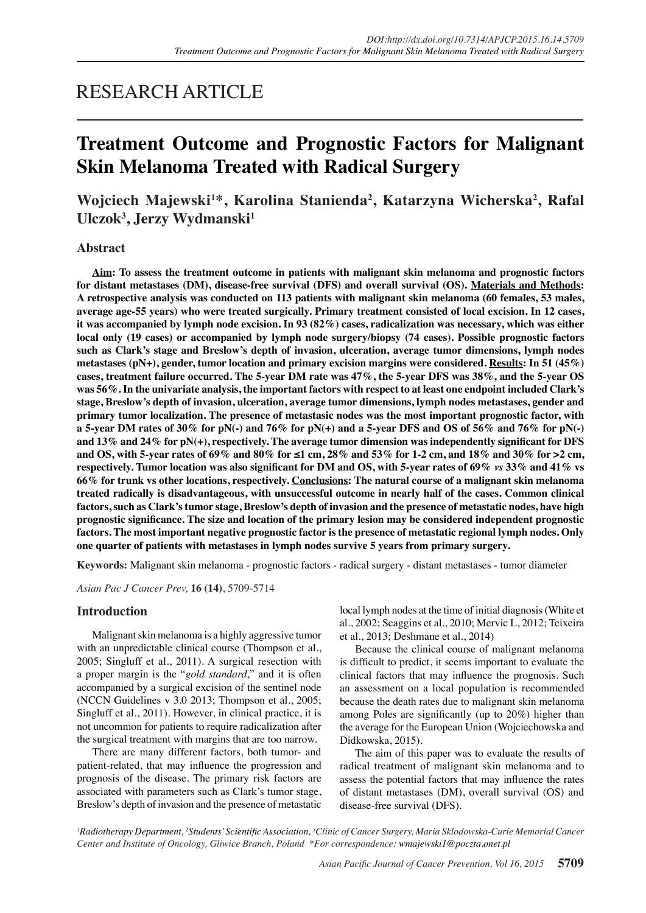# RESEARCH ARTICLE

# **Treatment Outcome and Prognostic Factors for Malignant Skin Melanoma Treated with Radical Surgery**

# Wojciech Majewski<sup>1\*</sup>, Karolina Stanienda<sup>2</sup>, Katarzyna Wicherska<sup>2</sup>, Rafal **Ulczok3 , Jerzy Wydmanski1**

### **Abstract**

**Aim: To assess the treatment outcome in patients with malignant skin melanoma and prognostic factors for distant metastases (DM), disease-free survival (DFS) and overall survival (OS). Materials and Methods: A retrospective analysis was conducted on 113 patients with malignant skin melanoma (60 females, 53 males, average age-55 years) who were treated surgically. Primary treatment consisted of local excision. In 12 cases, it was accompanied by lymph node excision. In 93 (82%) cases, radicalization was necessary, which was either local only (19 cases) or accompanied by lymph node surgery/biopsy (74 cases). Possible prognostic factors such as Clark's stage and Breslow's depth of invasion, ulceration, average tumor dimensions, lymph nodes metastases (pN+), gender, tumor location and primary excision margins were considered. Results: In 51 (45%) cases, treatment failure occurred. The 5-year DM rate was 47%, the 5-year DFS was 38%, and the 5-year OS was 56%. In the univariate analysis, the important factors with respect to at least one endpoint included Clark's stage, Breslow's depth of invasion, ulceration, average tumor dimensions, lymph nodes metastases, gender and primary tumor localization. The presence of metastasic nodes was the most important prognostic factor, with a 5-year DM rates of 30% for pN(-) and 76% for pN(+) and a 5-year DFS and OS of 56% and 76% for pN(-) and 13% and 24% for pN(+), respectively. The average tumor dimension was independently significant for DFS and OS, with 5-year rates of 69% and 80% for ≤1 cm, 28% and 53% for 1-2 cm, and 18% and 30% for >2 cm, respectively. Tumor location was also significant for DM and OS, with 5-year rates of 69%** *vs* **33% and 41% vs 66% for trunk vs other locations, respectively. Conclusions: The natural course of a malignant skin melanoma treated radically is disadvantageous, with unsuccessful outcome in nearly half of the cases. Common clinical factors, such as Clark's tumor stage, Breslow's depth of invasion and the presence of metastatic nodes, have high prognostic significance. The size and location of the primary lesion may be considered independent prognostic factors. The most important negative prognostic factor is the presence of metastatic regional lymph nodes. Only one quarter of patients with metastases in lymph nodes survive 5 years from primary surgery.**

**Keywords:** Malignant skin melanoma - prognostic factors - radical surgery - distant metastases - tumor diameter

*Asian Pac J Cancer Prev,* **16 (14)**, 5709-5714

#### **Introduction**

Malignant skin melanoma is a highly aggressive tumor with an unpredictable clinical course (Thompson et al., 2005; Singluff et al., 2011). A surgical resection with a proper margin is the "*gold standard*," and it is often accompanied by a surgical excision of the sentinel node (NCCN Guidelines v 3.0 2013; Thompson et al., 2005; Singluff et al., 2011). However, in clinical practice, it is not uncommon for patients to require radicalization after the surgical treatment with margins that are too narrow.

There are many different factors, both tumor- and patient-related, that may influence the progression and prognosis of the disease. The primary risk factors are associated with parameters such as Clark's tumor stage, Breslow's depth of invasion and the presence of metastatic

local lymph nodes at the time of initial diagnosis (White et al., 2002; Scaggins et al., 2010; Mervic L, 2012; Teixeira et al., 2013; Deshmane et al., 2014)

Because the clinical course of malignant melanoma is difficult to predict, it seems important to evaluate the clinical factors that may influence the prognosis. Such an assessment on a local population is recommended because the death rates due to malignant skin melanoma among Poles are significantly (up to 20%) higher than the average for the European Union (Wojciechowska and Didkowska, 2015).

The aim of this paper was to evaluate the results of radical treatment of malignant skin melanoma and to assess the potential factors that may influence the rates of distant metastases (DM), overall survival (OS) and disease-free survival (DFS).

*1 Radiotherapy Department, 2 Students' Scientific Association, <sup>3</sup> Clinic of Cancer Surgery, Maria Sklodowska-Curie Memorial Cancer Center and Institute of Oncology, Gliwice Branch, Poland \*For correspondence: wmajewski1@poczta.onet.pl*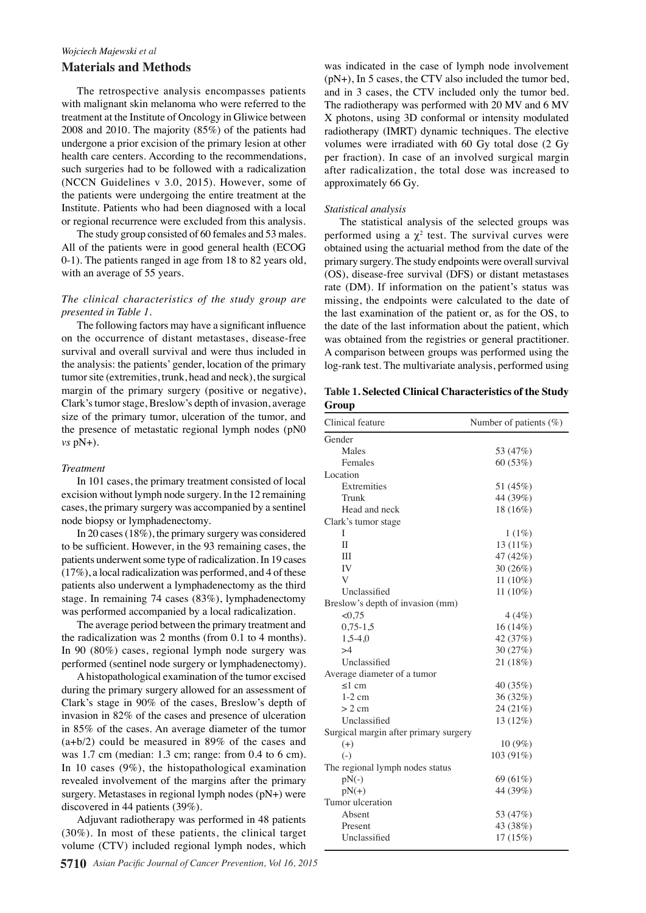### *Wojciech Majewski et al* **Materials and Methods**

The retrospective analysis encompasses patients with malignant skin melanoma who were referred to the treatment at the Institute of Oncology in Gliwice between 2008 and 2010. The majority (85%) of the patients had undergone a prior excision of the primary lesion at other health care centers. According to the recommendations, such surgeries had to be followed with a radicalization (NCCN Guidelines v 3.0, 2015). However, some of the patients were undergoing the entire treatment at the Institute. Patients who had been diagnosed with a local or regional recurrence were excluded from this analysis.

The study group consisted of 60 females and 53 males. All of the patients were in good general health (ECOG 0-1). The patients ranged in age from 18 to 82 years old, with an average of 55 years.

#### *The clinical characteristics of the study group are presented in Table 1.*

The following factors may have a significant influence on the occurrence of distant metastases, disease-free survival and overall survival and were thus included in the analysis: the patients' gender, location of the primary tumor site (extremities, trunk, head and neck), the surgical margin of the primary surgery (positive or negative), Clark's tumor stage, Breslow's depth of invasion, average size of the primary tumor, ulceration of the tumor, and the presence of metastatic regional lymph nodes (pN0 *vs* pN+).

#### *Treatment*

In 101 cases, the primary treatment consisted of local excision without lymph node surgery. In the 12 remaining cases, the primary surgery was accompanied by a sentinel node biopsy or lymphadenectomy.

In 20 cases (18%), the primary surgery was considered to be sufficient. However, in the 93 remaining cases, the patients underwent some type of radicalization. In 19 cases (17%), a local radicalization was performed, and 4 of these patients also underwent a lymphadenectomy as the third stage. In remaining 74 cases (83%), lymphadenectomy was performed accompanied by a local radicalization.

The average period between the primary treatment and the radicalization was 2 months (from 0.1 to 4 months). In 90 (80%) cases, regional lymph node surgery was performed (sentinel node surgery or lymphadenectomy).

A histopathological examination of the tumor excised during the primary surgery allowed for an assessment of Clark's stage in 90% of the cases, Breslow's depth of invasion in 82% of the cases and presence of ulceration in 85% of the cases. An average diameter of the tumor (a+b/2) could be measured in 89% of the cases and was 1.7 cm (median: 1.3 cm; range: from 0.4 to 6 cm). In 10 cases (9%), the histopathological examination revealed involvement of the margins after the primary surgery. Metastases in regional lymph nodes (pN+) were discovered in 44 patients (39%).

Adjuvant radiotherapy was performed in 48 patients (30%). In most of these patients, the clinical target volume (CTV) included regional lymph nodes, which

was indicated in the case of lymph node involvement (pN+), In 5 cases, the CTV also included the tumor bed, and in 3 cases, the CTV included only the tumor bed. The radiotherapy was performed with 20 MV and 6 MV X photons, using 3D conformal or intensity modulated radiotherapy (IMRT) dynamic techniques. The elective volumes were irradiated with 60 Gy total dose (2 Gy per fraction). In case of an involved surgical margin after radicalization, the total dose was increased to approximately 66 Gy.

#### *Statistical analysis*

The statistical analysis of the selected groups was performed using a  $\chi^2$  test. The survival curves were obtained using the actuarial method from the date of the primary surgery. The study endpoints were overall survival (OS), disease-free survival (DFS) or distant metastases rate (DM). If information on the patient's status was missing, the endpoints were calculated to the date of the last examination of the patient or, as for the OS, to the date of the last information about the patient, which was obtained from the registries or general practitioner. A comparison between groups was performed using the log-rank test. The multivariate analysis, performed using

**Table 1. Selected Clinical Characteristics of the Study Group**

| Clinical feature                      | Number of patients $(\%)$ |
|---------------------------------------|---------------------------|
| Gender                                |                           |
| Males                                 | 53 (47%)                  |
| Females                               | 60(53%)                   |
| Location                              |                           |
| Extremities                           | 51 (45%)                  |
| Trunk                                 | 44 (39%)                  |
| Head and neck                         | 18 (16%)                  |
| Clark's tumor stage                   |                           |
| I                                     | 1(1%)                     |
| $\mathbf{I}$                          | 13 (11%)                  |
| Ш                                     | 47 (42%)                  |
| IV                                    | 30(26%)                   |
| V                                     | 11 (10%)                  |
| Unclassified                          | 11 (10%)                  |
| Breslow's depth of invasion (mm)      |                           |
| <0,75                                 | 4(4%)                     |
| $0,75-1,5$                            | 16 (14%)                  |
| $1,5-4,0$                             | 42 (37%)                  |
| >4                                    | 30 (27%)                  |
| Unclassified                          | 21 (18%)                  |
| Average diameter of a tumor           |                           |
| $\leq$ 1 cm                           | 40 (35%)                  |
| $1-2$ cm                              | 36 (32%)                  |
| $> 2$ cm                              | 24 (21%)                  |
| Unclassified                          | 13 (12%)                  |
| Surgical margin after primary surgery |                           |
| $(+)$                                 | $10(9\%)$                 |
| $(-)$                                 | 103 (91%)                 |
| The regional lymph nodes status       |                           |
| $pN(-)$                               | 69 (61%)                  |
| $pN(+)$                               | 44 (39%)                  |
| Tumor ulceration                      |                           |
| Absent                                | 53 (47%)                  |
| Present                               | 43 (38%)                  |
| Unclassified                          | 17 (15%)                  |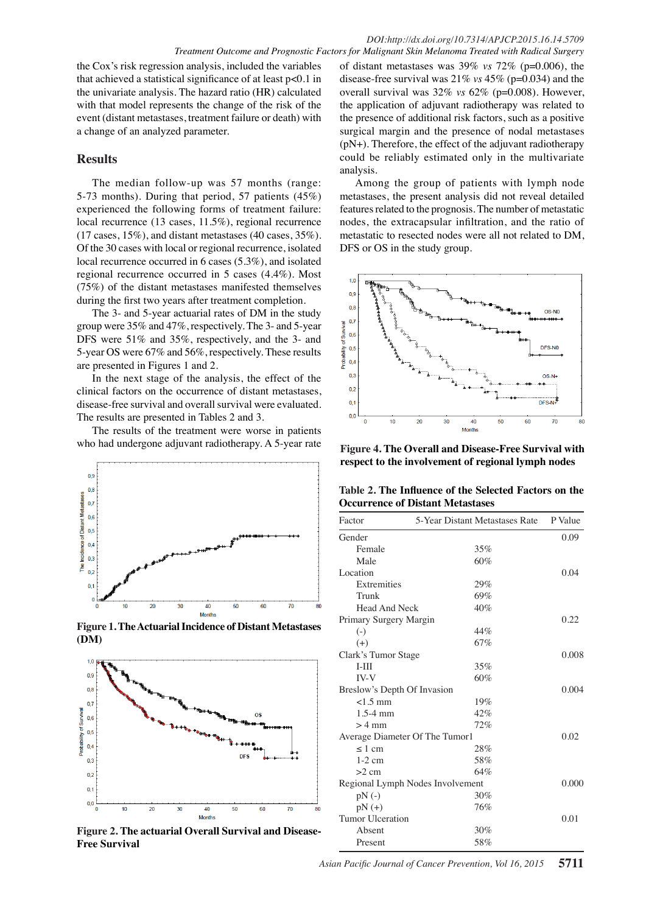the Cox's risk regression analysis, included the variables that achieved a statistical significance of at least p<0.1 in the univariate analysis. The hazard ratio (HR) calculated with that model represents the change of the risk of the event (distant metastases, treatment failure or death) with a change of an analyzed parameter.

# **Results**

The median follow-up was 57 months (range: 5-73 months). During that period, 57 patients (45%) experienced the following forms of treatment failure: local recurrence (13 cases, 11.5%), regional recurrence (17 cases, 15%), and distant metastases (40 cases, 35%). Of the 30 cases with local or regional recurrence, isolated local recurrence occurred in 6 cases (5.3%), and isolated regional recurrence occurred in 5 cases (4.4%). Most (75%) of the distant metastases manifested themselves during the first two years after treatment completion.

The 3- and 5-year actuarial rates of DM in the study group were 35% and 47%, respectively. The 3- and 5-year DFS were 51% and 35%, respectively, and the 3- and 5-year OS were 67% and 56%, respectively. These results are presented in Figures 1 and 2.

In the next stage of the analysis, the effect of the clinical factors on the occurrence of distant metastases, disease-free survival and overall survival were evaluated. The results are presented in Tables 2 and 3.

The results of the treatment were worse in patients who had undergone adjuvant radiotherapy. A 5-year rate



**Figure 1. The Actuarial Incidence of Distant Metastases (DM)**



**Figure 2. The actuarial Overall Survival and Disease-Free Survival**

of distant metastases was 39% *vs* 72% (p=0.006), the disease-free survival was 21% *vs* 45% (p=0.034) and the overall survival was 32% *vs* 62% (p=0.008). However, the application of adjuvant radiotherapy was related to the presence of additional risk factors, such as a positive surgical margin and the presence of nodal metastases (pN+). Therefore, the effect of the adjuvant radiotherapy could be reliably estimated only in the multivariate analysis.

Among the group of patients with lymph node metastases, the present analysis did not reveal detailed features related to the prognosis. The number of metastatic nodes, the extracapsular infiltration, and the ratio of metastatic to resected nodes were all not related to DM, DFS or OS in the study group.



**Figure 4. The Overall and Disease-Free Survival with respect to the involvement of regional lymph nodes**

**Table 2. The Influence of the Selected Factors on the Occurrence of Distant Metastases**

| Factor                           | 5-Year Distant Metastases Rate | P Value |
|----------------------------------|--------------------------------|---------|
| Gender                           |                                | 0.09    |
| Female                           | 35%                            |         |
| Male                             | 60%                            |         |
| Location                         |                                | 0.04    |
| Extremities                      | 29%                            |         |
| Trunk                            | 69%                            |         |
| Head And Neck                    | 40%                            |         |
| Primary Surgery Margin           |                                | 0.22    |
| $(-)$                            | 44%                            |         |
| $(+)$                            | 67%                            |         |
| Clark's Tumor Stage              |                                | 0.008   |
| $I-III$                          | 35%                            |         |
| IV-V                             | 60%                            |         |
| Breslow's Depth Of Invasion      |                                | 0.004   |
| $<$ 1.5 mm                       | 19%                            |         |
| $1.5-4$ mm                       | 42%                            |         |
| $>4$ mm                          | 72%                            |         |
|                                  | Average Diameter Of The Tumor1 | 0.02    |
| $\leq 1$ cm                      | 28%                            |         |
| $1-2$ cm                         | 58%                            |         |
| $>2$ cm                          | 64%                            |         |
| Regional Lymph Nodes Involvement | 0.000                          |         |
| $pN(-)$                          | 30%                            |         |
| $pN (+)$                         | 76%                            |         |
| Tumor Ulceration                 |                                | 0.01    |
| Absent                           | 30%                            |         |
| Present                          | 58%                            |         |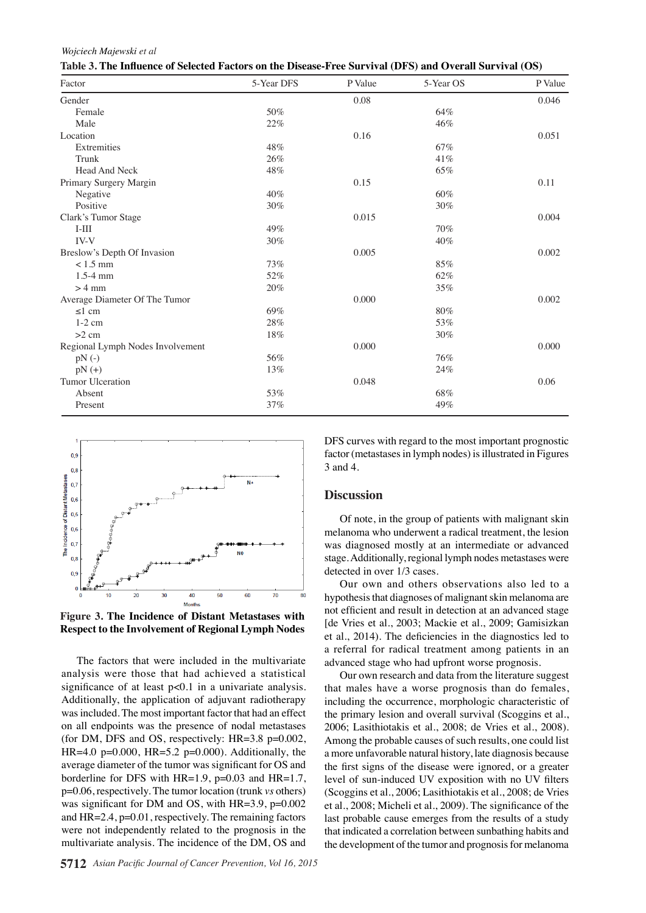*Wojciech Majewski et al*

| Factor                           | 5-Year DFS | P Value | 5-Year OS | P Value |
|----------------------------------|------------|---------|-----------|---------|
| Gender                           |            | 0.08    |           | 0.046   |
| Female                           | 50%        |         | 64%       |         |
| Male                             | 22%        |         | 46%       |         |
| Location                         |            | 0.16    |           | 0.051   |
| Extremities                      | 48%        |         | 67%       |         |
| Trunk                            | 26%        |         | 41%       |         |
| Head And Neck                    | 48%        |         | 65%       |         |
| Primary Surgery Margin           |            | 0.15    |           | 0.11    |
| Negative                         | 40%        |         | 60%       |         |
| Positive                         | 30%        |         | 30%       |         |
| Clark's Tumor Stage              |            | 0.015   |           | 0.004   |
| $I-III$                          | 49%        |         | 70%       |         |
| IV-V                             | 30%        |         | 40%       |         |
| Breslow's Depth Of Invasion      |            | 0.005   |           | 0.002   |
| $< 1.5$ mm                       | 73%        |         | 85%       |         |
| $1.5 - 4$ mm                     | 52%        |         | 62%       |         |
| $>4$ mm                          | 20%        |         | 35%       |         |
| Average Diameter Of The Tumor    |            | 0.000   |           | 0.002   |
| $\leq$ 1 cm                      | 69%        |         | 80%       |         |
| $1-2$ cm                         | 28%        |         | 53%       |         |
| $>2$ cm                          | 18%        |         | 30%       |         |
| Regional Lymph Nodes Involvement |            | 0.000   |           | 0.000   |
| $pN(-)$                          | 56%        |         | 76%       |         |
| $pN (+)$                         | 13%        |         | 24%       |         |
| <b>Tumor Ulceration</b>          |            | 0.048   |           | 0.06    |
| Absent                           | 53%        |         | 68%       |         |
| Present                          | 37%        |         | 49%       |         |



**Figure 3. The Incidence of Distant Metastases with Respect to the Involvement of Regional Lymph Nodes**

The factors that were included in the multivariate analysis were those that had achieved a statistical significance of at least p<0.1 in a univariate analysis. Additionally, the application of adjuvant radiotherapy was included. The most important factor that had an effect on all endpoints was the presence of nodal metastases (for DM, DFS and OS, respectively: HR=3.8 p=0.002, HR=4.0 p=0.000, HR=5.2 p=0.000). Additionally, the average diameter of the tumor was significant for OS and borderline for DFS with  $HR=1.9$ ,  $p=0.03$  and  $HR=1.7$ , p=0.06, respectively. The tumor location (trunk *vs* others) was significant for DM and OS, with HR=3.9, p=0.002 and HR=2.4, p=0.01, respectively. The remaining factors were not independently related to the prognosis in the multivariate analysis. The incidence of the DM, OS and

DFS curves with regard to the most important prognostic factor (metastases in lymph nodes) is illustrated in Figures 3 and 4.

#### **Discussion**

Of note, in the group of patients with malignant skin melanoma who underwent a radical treatment, the lesion was diagnosed mostly at an intermediate or advanced stage. Additionally, regional lymph nodes metastases were detected in over 1/3 cases.

Our own and others observations also led to a hypothesis that diagnoses of malignant skin melanoma are not efficient and result in detection at an advanced stage [de Vries et al., 2003; Mackie et al., 2009; Gamisizkan et al., 2014). The deficiencies in the diagnostics led to a referral for radical treatment among patients in an advanced stage who had upfront worse prognosis.

Our own research and data from the literature suggest that males have a worse prognosis than do females, including the occurrence, morphologic characteristic of the primary lesion and overall survival (Scoggins et al., 2006; Lasithiotakis et al., 2008; de Vries et al., 2008). Among the probable causes of such results, one could list a more unfavorable natural history, late diagnosis because the first signs of the disease were ignored, or a greater level of sun-induced UV exposition with no UV filters (Scoggins et al., 2006; Lasithiotakis et al., 2008; de Vries et al., 2008; Micheli et al., 2009). The significance of the last probable cause emerges from the results of a study that indicated a correlation between sunbathing habits and the development of the tumor and prognosis for melanoma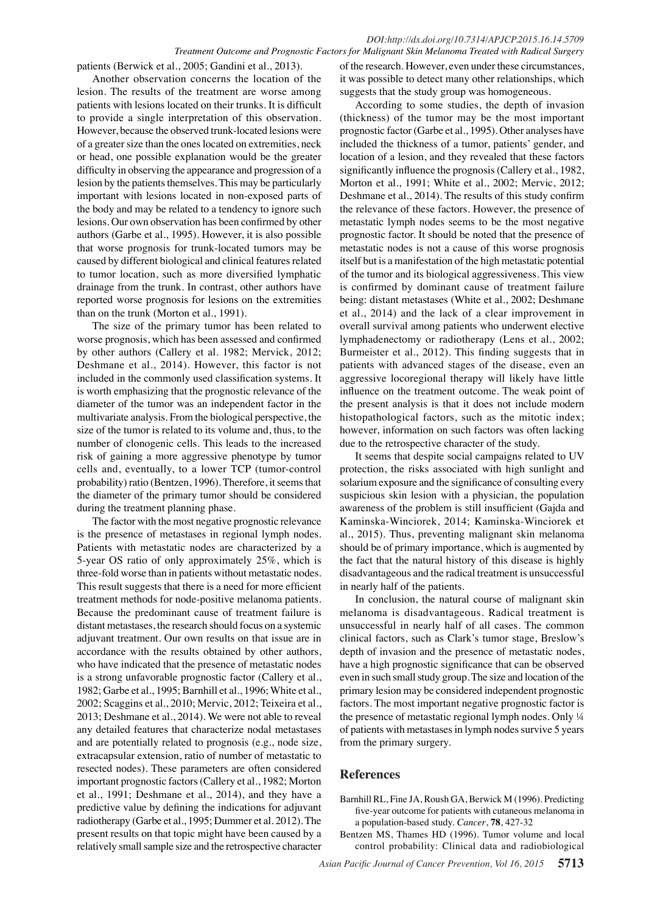#### *DOI:http://dx.doi.org/10.7314/APJCP.2015.16.14.5709 Treatment Outcome and Prognostic Factors for Malignant Skin Melanoma Treated with Radical Surgery*

patients (Berwick et al., 2005; Gandini et al., 2013).

Another observation concerns the location of the lesion. The results of the treatment are worse among patients with lesions located on their trunks. It is difficult to provide a single interpretation of this observation. However, because the observed trunk-located lesions were of a greater size than the ones located on extremities, neck or head, one possible explanation would be the greater difficulty in observing the appearance and progression of a lesion by the patients themselves. This may be particularly important with lesions located in non-exposed parts of the body and may be related to a tendency to ignore such lesions. Our own observation has been confirmed by other authors (Garbe et al., 1995). However, it is also possible that worse prognosis for trunk-located tumors may be caused by different biological and clinical features related to tumor location, such as more diversified lymphatic drainage from the trunk. In contrast, other authors have reported worse prognosis for lesions on the extremities than on the trunk (Morton et al., 1991).

The size of the primary tumor has been related to worse prognosis, which has been assessed and confirmed by other authors (Callery et al. 1982; Mervick, 2012; Deshmane et al., 2014). However, this factor is not included in the commonly used classification systems. It is worth emphasizing that the prognostic relevance of the diameter of the tumor was an independent factor in the multivariate analysis. From the biological perspective, the size of the tumor is related to its volume and, thus, to the number of clonogenic cells. This leads to the increased risk of gaining a more aggressive phenotype by tumor cells and, eventually, to a lower TCP (tumor-control probability) ratio (Bentzen, 1996). Therefore, it seems that the diameter of the primary tumor should be considered during the treatment planning phase.

The factor with the most negative prognostic relevance is the presence of metastases in regional lymph nodes. Patients with metastatic nodes are characterized by a 5-year OS ratio of only approximately 25%, which is three-fold worse than in patients without metastatic nodes. This result suggests that there is a need for more efficient treatment methods for node-positive melanoma patients. Because the predominant cause of treatment failure is distant metastases, the research should focus on a systemic adjuvant treatment. Our own results on that issue are in accordance with the results obtained by other authors, who have indicated that the presence of metastatic nodes is a strong unfavorable prognostic factor (Callery et al., 1982; Garbe et al., 1995; Barnhill et al., 1996; White et al., 2002; Scaggins et al., 2010; Mervic, 2012; Teixeira et al., 2013; Deshmane et al., 2014). We were not able to reveal any detailed features that characterize nodal metastases and are potentially related to prognosis (e.g., node size, extracapsular extension, ratio of number of metastatic to resected nodes). These parameters are often considered important prognostic factors (Callery et al., 1982; Morton et al., 1991; Deshmane et al., 2014), and they have a predictive value by defining the indications for adjuvant radiotherapy (Garbe et al., 1995; Dummer et al. 2012). The present results on that topic might have been caused by a relatively small sample size and the retrospective character

of the research. However, even under these circumstances, it was possible to detect many other relationships, which suggests that the study group was homogeneous.

According to some studies, the depth of invasion (thickness) of the tumor may be the most important prognostic factor (Garbe et al., 1995). Other analyses have included the thickness of a tumor, patients' gender, and location of a lesion, and they revealed that these factors significantly influence the prognosis (Callery et al., 1982, Morton et al., 1991; White et al., 2002; Mervic, 2012; Deshmane et al., 2014). The results of this study confirm the relevance of these factors. However, the presence of metastatic lymph nodes seems to be the most negative prognostic factor. It should be noted that the presence of metastatic nodes is not a cause of this worse prognosis itself but is a manifestation of the high metastatic potential of the tumor and its biological aggressiveness. This view is confirmed by dominant cause of treatment failure being: distant metastases (White et al., 2002; Deshmane et al., 2014) and the lack of a clear improvement in overall survival among patients who underwent elective lymphadenectomy or radiotherapy (Lens et al., 2002; Burmeister et al., 2012). This finding suggests that in patients with advanced stages of the disease, even an aggressive locoregional therapy will likely have little influence on the treatment outcome. The weak point of the present analysis is that it does not include modern histopathological factors, such as the mitotic index; however, information on such factors was often lacking due to the retrospective character of the study.

It seems that despite social campaigns related to UV protection, the risks associated with high sunlight and solarium exposure and the significance of consulting every suspicious skin lesion with a physician, the population awareness of the problem is still insufficient (Gajda and Kaminska-Winciorek, 2014; Kaminska-Winciorek et al., 2015). Thus, preventing malignant skin melanoma should be of primary importance, which is augmented by the fact that the natural history of this disease is highly disadvantageous and the radical treatment is unsuccessful in nearly half of the patients.

In conclusion, the natural course of malignant skin melanoma is disadvantageous. Radical treatment is unsuccessful in nearly half of all cases. The common clinical factors, such as Clark's tumor stage, Breslow's depth of invasion and the presence of metastatic nodes, have a high prognostic significance that can be observed even in such small study group. The size and location of the primary lesion may be considered independent prognostic factors. The most important negative prognostic factor is the presence of metastatic regional lymph nodes. Only ¼ of patients with metastases in lymph nodes survive 5 years from the primary surgery.

# **References**

- Barnhill RL, Fine JA, Roush GA, Berwick M (1996). Predicting five-year outcome for patients with cutaneous melanoma in a population-based study. *Cancer*, **78**, 427-32
- Bentzen MS, Thames HD (1996). Tumor volume and local control probability: Clinical data and radiobiological